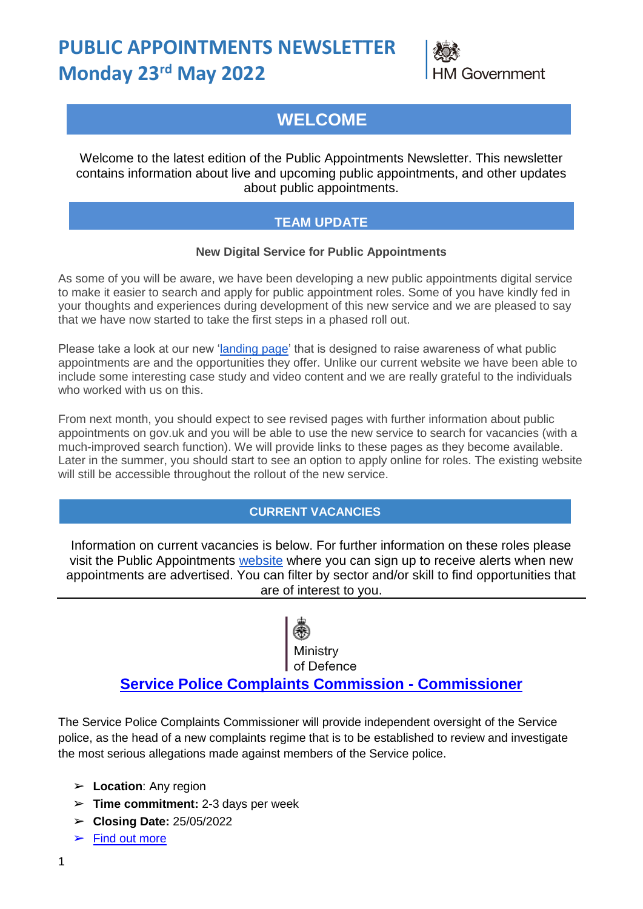# **PUBLIC APPOINTMENTS NEWSLETTER Monday 23 rd May 2022**



## **WELCOME**

Welcome to the latest edition of the Public Appointments Newsletter. This newsletter contains information about live and upcoming public appointments, and other updates about public appointments.

#### **TEAM UPDATE**

#### **New Digital Service for Public Appointments**

As some of you will be aware, we have been developing a new public appointments digital service to make it easier to search and apply for public appointment roles. Some of you have kindly fed in your thoughts and experiences during development of this new service and we are pleased to say that we have now started to take the first steps in a phased roll out.

Please take a look at our new ['landing page'](https://publicappointments.campaign.gov.uk/) that is designed to raise awareness of what public appointments are and the opportunities they offer. Unlike our current website we have been able to include some interesting case study and video content and we are really grateful to the individuals who worked with us on this.

From next month, you should expect to see revised pages with further information about public appointments on gov.uk and you will be able to use the new service to search for vacancies (with a much-improved search function). We will provide links to these pages as they become available. Later in the summer, you should start to see an option to apply online for roles. The existing website will still be accessible throughout the rollout of the new service.

#### **CURRENT VACANCIES**

Information on current vacancies is below. For further information on these roles please visit the Public Appointments [website](https://publicappointments.cabinetoffice.gov.uk/search-appointments/) where you can sign up to receive alerts when new appointments are advertised. You can filter by sector and/or skill to find opportunities that are of interest to you.

of Defence

#### **[Service Police Complaints Commission -](https://publicappointments.cabinetoffice.gov.uk/appointment/service-police-complaints-commissioner-spcc/) Commissioner**

The Service Police Complaints Commissioner will provide independent oversight of the Service police, as the head of a new complaints regime that is to be established to review and investigate the most serious allegations made against members of the Service police.

- ➢ **Location**: Any region
- ➢ **Time commitment:** 2-3 days per week
- ➢ **Closing Date:** 25/05/2022
- $\blacktriangleright$  [Find out more](https://publicappointments.cabinetoffice.gov.uk/appointment/service-police-complaints-commissioner-spcc/)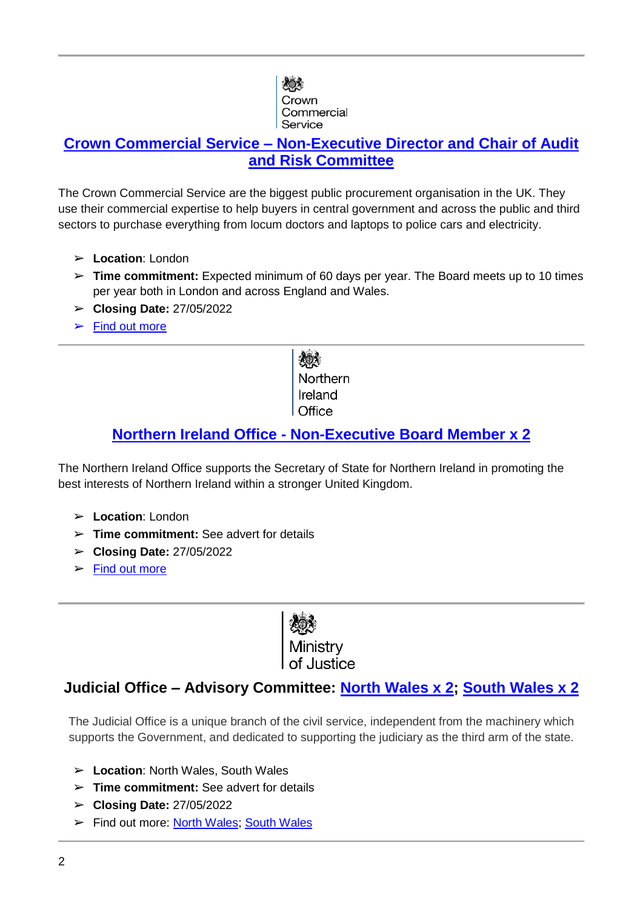

#### **Crown Commercial Service – [Non-Executive Director and Chair of Audit](https://publicappointments.cabinetoffice.gov.uk/appointment/non-executive-director-and-chair-of-audit-and-risk-committee/)  [and Risk Committee](https://publicappointments.cabinetoffice.gov.uk/appointment/non-executive-director-and-chair-of-audit-and-risk-committee/)**

The Crown Commercial Service are the biggest public procurement organisation in the UK. They use their commercial expertise to help buyers in central government and across the public and third sectors to purchase everything from locum doctors and laptops to police cars and electricity.

- ➢ **Location**: London
- ➢ **Time commitment:** Expected minimum of 60 days per year. The Board meets up to 10 times per year both in London and across England and Wales.
- ➢ **Closing Date:** 27/05/2022
- $\blacktriangleright$  [Find out more](https://publicappointments.cabinetoffice.gov.uk/appointment/non-executive-director-and-chair-of-audit-and-risk-committee/)

Northern Ireland

#### **Northern Ireland Office - [Non-Executive Board Member x 2](https://publicappointments.cabinetoffice.gov.uk/appointment/northern-ireland-office-non-executive-board-member/)**

The Northern Ireland Office supports the Secretary of State for Northern Ireland in promoting the best interests of Northern Ireland within a stronger United Kingdom.

- ➢ **Location**: London
- ➢ **Time commitment:** See advert for details
- ➢ **Closing Date:** 27/05/2022
- $\blacktriangleright$  [Find out more](https://publicappointments.cabinetoffice.gov.uk/appointment/northern-ireland-office-non-executive-board-member/)

*ogo*<br>Ministry

#### **Judicial Office – Advisory Committee: [North Wales x 2;](https://publicappointments.cabinetoffice.gov.uk/appointment/north-wales-advisory-committee/) [South Wales x 2](https://publicappointments.cabinetoffice.gov.uk/appointment/south-wales-advisory-committee/)**

The Judicial Office is a unique branch of the civil service, independent from the machinery which supports the Government, and dedicated to supporting the judiciary as the third arm of the state.

- ➢ **Location**: North Wales, South Wales
- ➢ **Time commitment:** See advert for details
- ➢ **Closing Date:** 27/05/2022
- ➢ Find out more: [North Wales;](https://publicappointments.cabinetoffice.gov.uk/appointment/north-wales-advisory-committee/) [South Wales](https://publicappointments.cabinetoffice.gov.uk/appointment/south-wales-advisory-committee/)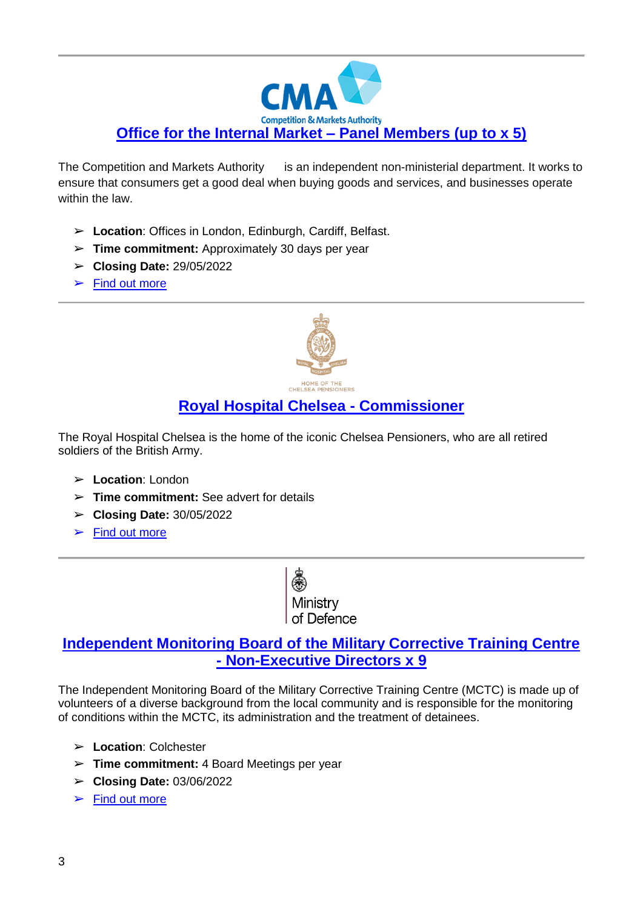

The Competition and Markets Authority is an independent non-ministerial department. It works to ensure that consumers get a good deal when buying goods and services, and businesses operate within the law.

- ➢ **Location**: Offices in London, Edinburgh, Cardiff, Belfast.
- ➢ **Time commitment:** Approximately 30 days per year
- ➢ **Closing Date:** 29/05/2022
- $\blacktriangleright$  [Find out more](https://publicappointments.cabinetoffice.gov.uk/appointment/office-for-the-internal-market-panel-member/)



### **[Royal Hospital Chelsea -](https://publicappointments.cabinetoffice.gov.uk/appointment/specially-appointed-commissioner-sac-to-the-royal-hospital-chelsea-rhc-board-of-commissioners-social-care-and-health/) Commissioner**

The Royal Hospital Chelsea is the home of the iconic Chelsea Pensioners, who are all retired soldiers of the British Army.

- ➢ **Location**: London
- ➢ **Time commitment:** See advert for details
- ➢ **Closing Date:** 30/05/2022
- $\triangleright$  [Find out more](https://publicappointments.cabinetoffice.gov.uk/appointment/specially-appointed-commissioner-sac-to-the-royal-hospital-chelsea-rhc-board-of-commissioners-social-care-and-health/)



#### **[Independent Monitoring Board of the Military Corrective Training Centre](https://publicappointments.cabinetoffice.gov.uk/appointment/military-corrective-training-centre-mctc-independent-monitoring-board-imb-members/)  - [Non-Executive Directors x 9](https://publicappointments.cabinetoffice.gov.uk/appointment/military-corrective-training-centre-mctc-independent-monitoring-board-imb-members/)**

The Independent Monitoring Board of the Military Corrective Training Centre (MCTC) is made up of volunteers of a diverse background from the local community and is responsible for the monitoring of conditions within the MCTC, its administration and the treatment of detainees.

- ➢ **Location**: Colchester
- ➢ **Time commitment:** 4 Board Meetings per year
- ➢ **Closing Date:** 03/06/2022
- $\triangleright$  [Find out more](https://publicappointments.cabinetoffice.gov.uk/appointment/military-corrective-training-centre-mctc-independent-monitoring-board-imb-members/)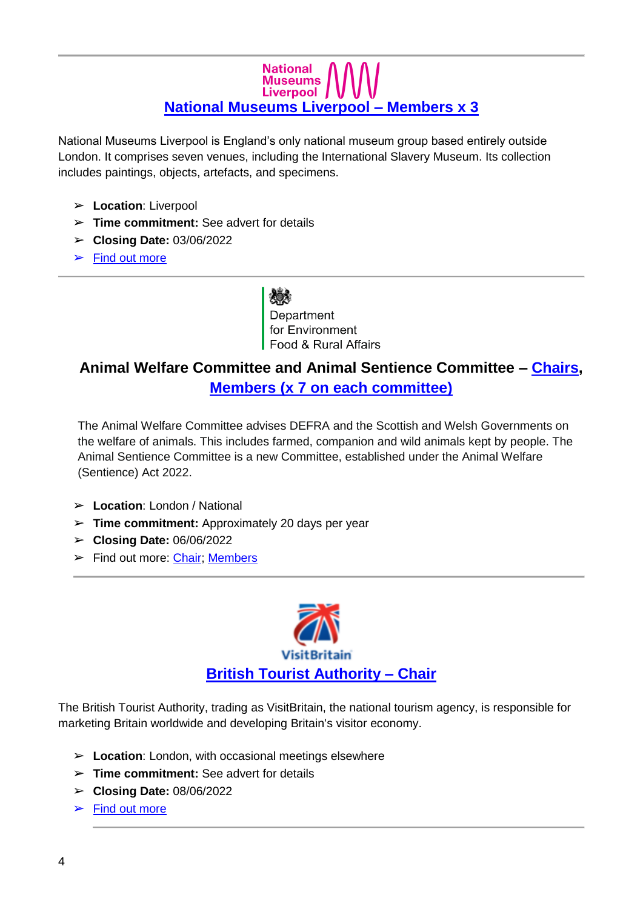### **National** Museums<br>Liverpool **[National Museums Liverpool –](https://publicappointments.cabinetoffice.gov.uk/appointment/national-museums-liverpool-x3-members/) Members [x](https://publicappointments.cabinetoffice.gov.uk/appointment/national-museums-liverpool-x3-members/) 3**

National Museums Liverpool is England's only national museum group based entirely outside London. It comprises seven venues, including the International Slavery Museum. Its collection includes paintings, objects, artefacts, and specimens.

- ➢ **Location**: Liverpool
- ➢ **Time commitment:** See advert for details
- ➢ **Closing Date:** 03/06/2022
- $\blacktriangleright$  [Find out more](https://publicappointments.cabinetoffice.gov.uk/appointment/national-museums-liverpool-x3-members/)

Department for Environment Food & Rural Affairs

## **Animal Welfare Committee and Animal Sentience Committee – [Chairs,](https://publicappointments.cabinetoffice.gov.uk/appointment/chairs-of-the-animal-welfare-committee-and-animal-sentience-committee/) [Members \(x 7 on each committee\)](https://publicappointments.cabinetoffice.gov.uk/appointment/members-of-the-animal-welfare-committee-and-animal-sentience-committee/)**

The Animal Welfare Committee advises DEFRA and the Scottish and Welsh Governments on the welfare of animals. This includes farmed, companion and wild animals kept by people. The Animal Sentience Committee is a new Committee, established under the Animal Welfare (Sentience) Act 2022.

- ➢ **Location**: London / National
- ➢ **Time commitment:** Approximately 20 days per year
- ➢ **Closing Date:** 06/06/2022
- ➢ Find out more: [Chair;](https://publicappointments.cabinetoffice.gov.uk/appointment/chairs-of-the-animal-welfare-committee-and-animal-sentience-committee/) [Members](https://publicappointments.cabinetoffice.gov.uk/appointment/members-of-the-animal-welfare-committee-and-animal-sentience-committee/)



The British Tourist Authority, trading as VisitBritain, the national tourism agency, is responsible for marketing Britain worldwide and developing Britain's visitor economy.

- ➢ **Location**: London, with occasional meetings elsewhere
- ➢ **Time commitment:** See advert for details
- ➢ **Closing Date:** 08/06/2022
- $\blacktriangleright$  Find out more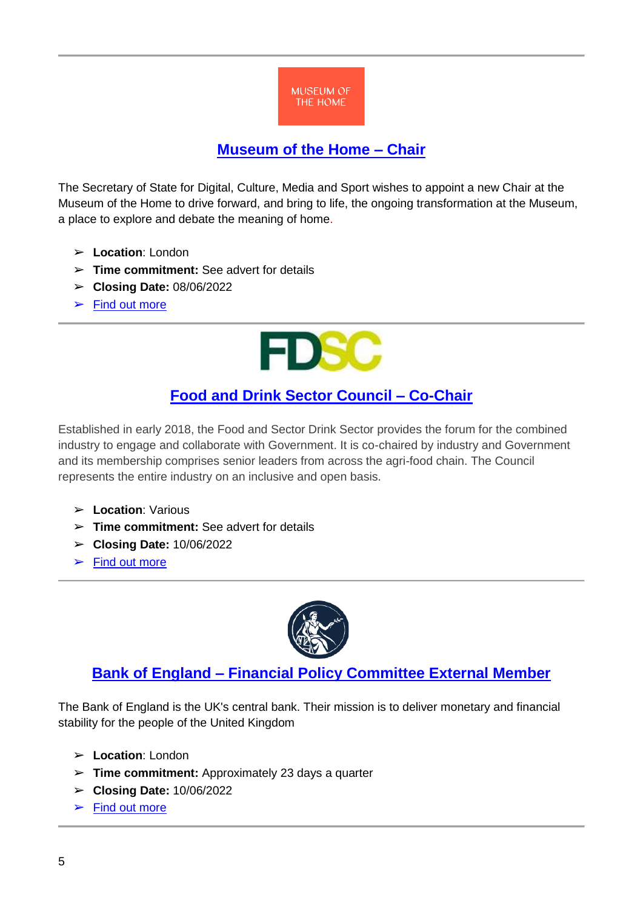

#### **[Museum of the Home –](https://publicappointments.cabinetoffice.gov.uk/appointment/museum-of-the-home-chair/) Chair**

The Secretary of State for Digital, Culture, Media and Sport wishes to appoint a new Chair at the Museum of the Home to drive forward, and bring to life, the ongoing transformation at the Museum, a place to explore and debate the meaning of home.

- ➢ **Location**: London
- ➢ **Time commitment:** See advert for details
- ➢ **Closing Date:** 08/06/2022
- $\blacktriangleright$  Find out more



### **[Food and Drink Sector Council –](https://publicappointments.cabinetoffice.gov.uk/appointment/the-food-and-drink-sector-council-co-chair/) Co-Chair**

Established in early 2018, the Food and Sector Drink Sector provides the forum for the combined industry to engage and collaborate with Government. It is co-chaired by industry and Government and its membership comprises senior leaders from across the agri-food chain. The Council represents the entire industry on an inclusive and open basis.

- ➢ **Location**: Various
- ➢ **Time commitment:** See advert for details
- ➢ **Closing Date:** 10/06/2022
- $\blacktriangleright$  [Find out more](https://publicappointments.cabinetoffice.gov.uk/appointment/the-food-and-drink-sector-council-co-chair/)



#### **Bank of England – [Financial Policy Committee External Member](https://publicappointments.cabinetoffice.gov.uk/appointment/external-member-of-the-financial-policy-committee-2/)**

The Bank of England is the UK's central bank. Their mission is to deliver monetary and financial stability for the people of the United Kingdom

- ➢ **Location**: London
- ➢ **Time commitment:** Approximately 23 days a quarter
- ➢ **Closing Date:** 10/06/2022
- $\blacktriangleright$  [Find out more](https://publicappointments.cabinetoffice.gov.uk/appointment/external-member-of-the-financial-policy-committee-2/)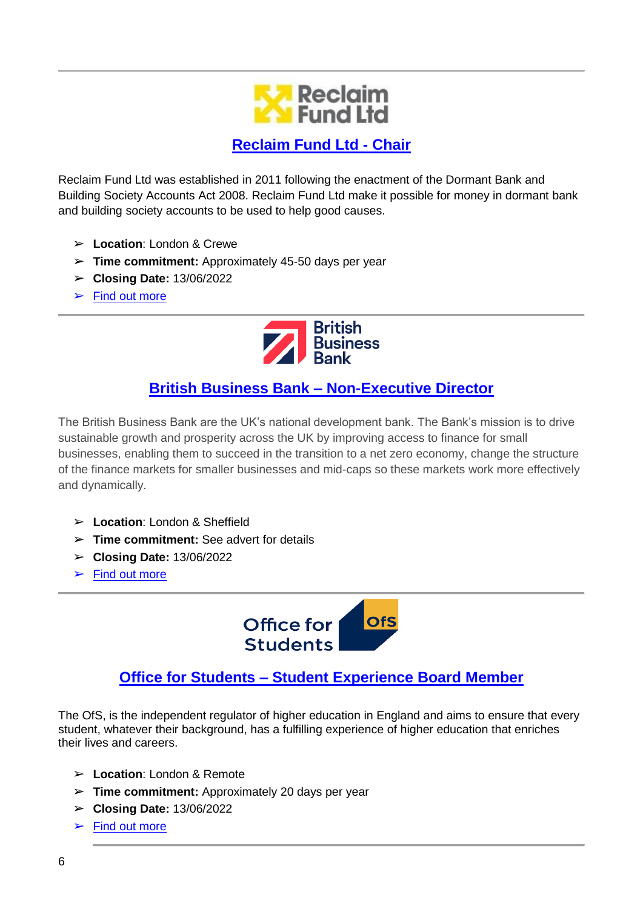

#### **[Reclaim Fund Ltd -](https://publicappointments.cabinetoffice.gov.uk/appointment/chair-of-the-board-of-reclaim-fund-ltd-rfl/) Chair**

Reclaim Fund Ltd was established in 2011 following the enactment of the Dormant Bank and Building Society Accounts Act 2008. Reclaim Fund Ltd make it possible for money in dormant bank and building society accounts to be used to help good causes.

- ➢ **Location**: London & Crewe
- ➢ **Time commitment:** Approximately 45-50 days per year
- ➢ **Closing Date:** 13/06/2022
- $\blacktriangleright$  [Find out more](https://publicappointments.cabinetoffice.gov.uk/appointment/chair-of-the-board-of-reclaim-fund-ltd-rfl/)



## **[British Business Bank –](https://publicappointments.cabinetoffice.gov.uk/appointment/non-executive-director-british-business-bank-bbb-2/) Non-Executive Director**

The British Business Bank are the UK's national development bank. The Bank's mission is to drive sustainable growth and prosperity across the UK by improving access to finance for small businesses, enabling them to succeed in the transition to a net zero economy, change the structure of the finance markets for smaller businesses and mid-caps so these markets work more effectively and dynamically.

- ➢ **Location**: London & Sheffield
- ➢ **Time commitment:** See advert for details
- ➢ **Closing Date:** 13/06/2022
- $\blacktriangleright$  [Find out more](https://publicappointments.cabinetoffice.gov.uk/appointment/non-executive-director-british-business-bank-bbb-2/)



#### **Office for Students – [Student Experience Board Member](https://publicappointments.cabinetoffice.gov.uk/appointment/office-for-students-student-experience-board-member-2/)**

The OfS, is the independent regulator of higher education in England and aims to ensure that every student, whatever their background, has a fulfilling experience of higher education that enriches their lives and careers.

- ➢ **Location**: London & Remote
- ➢ **Time commitment:** Approximately 20 days per year
- ➢ **Closing Date:** 13/06/2022
- $\blacktriangleright$  [Find out more](https://publicappointments.cabinetoffice.gov.uk/appointment/office-for-students-student-experience-board-member-2/)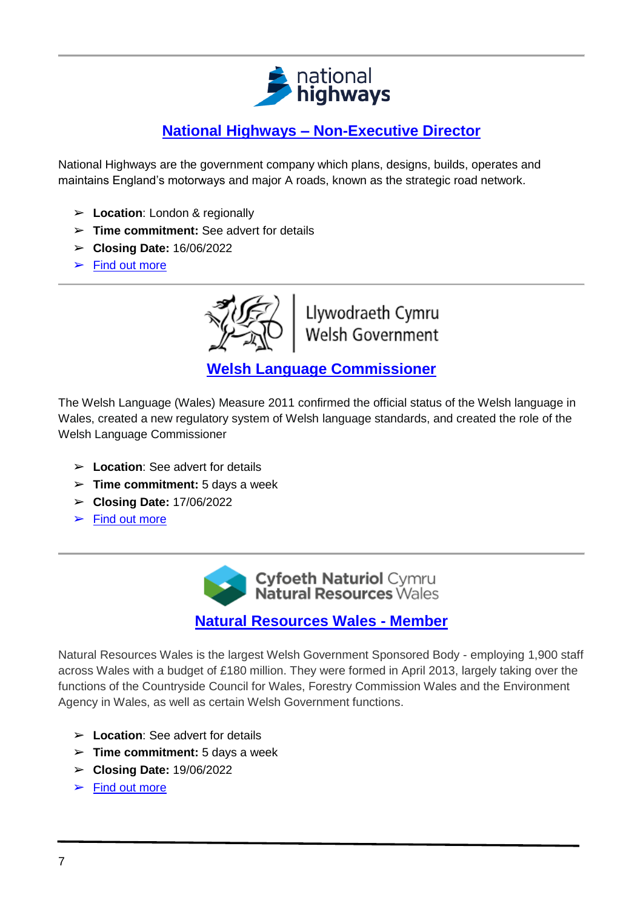

## **National Highways – [Non-Executive Director](https://publicappointments.cabinetoffice.gov.uk/appointment/national-highways-non-executive-director-2/)**

National Highways are the government company which plans, designs, builds, operates and maintains England's motorways and major A roads, known as the strategic road network.

- ➢ **Location**: London & regionally
- ➢ **Time commitment:** See advert for details
- ➢ **Closing Date:** 16/06/2022
- $\blacktriangleright$  [Find out more](https://publicappointments.cabinetoffice.gov.uk/appointment/national-highways-non-executive-director-2/)



Llywodraeth Cymru Welsh Government

**[Welsh Language Commissioner](https://publicappointments.cabinetoffice.gov.uk/appointment/welsh-language-commissioner/)**

The Welsh Language (Wales) Measure 2011 confirmed the official status of the Welsh language in Wales, created a new regulatory system of Welsh language standards, and created the role of the Welsh Language Commissioner

- ➢ **Location**: See advert for details
- ➢ **Time commitment:** 5 days a week
- ➢ **Closing Date:** 17/06/2022
- $\blacktriangleright$  [Find out more](https://publicappointments.cabinetoffice.gov.uk/appointment/welsh-language-commissioner/)

Cyfoeth Naturiol Cymru<br>Natural Resources Wales

**[Natural Resources Wales -](https://publicappointments.cabinetoffice.gov.uk/appointment/non-executive-director-british-business-bank-bbb-2/) Member**

Natural Resources Wales is the largest Welsh Government Sponsored Body - employing 1,900 staff across Wales with a budget of £180 million. They were formed in April 2013, largely taking over the functions of the Countryside Council for Wales, Forestry Commission Wales and the Environment Agency in Wales, as well as certain Welsh Government functions.

- ➢ **Location**: See advert for details
- ➢ **Time commitment:** 5 days a week
- ➢ **Closing Date:** 19/06/2022
- $\blacktriangleright$  [Find out more](https://publicappointments.cabinetoffice.gov.uk/appointment/member-natural-resources-wales/)